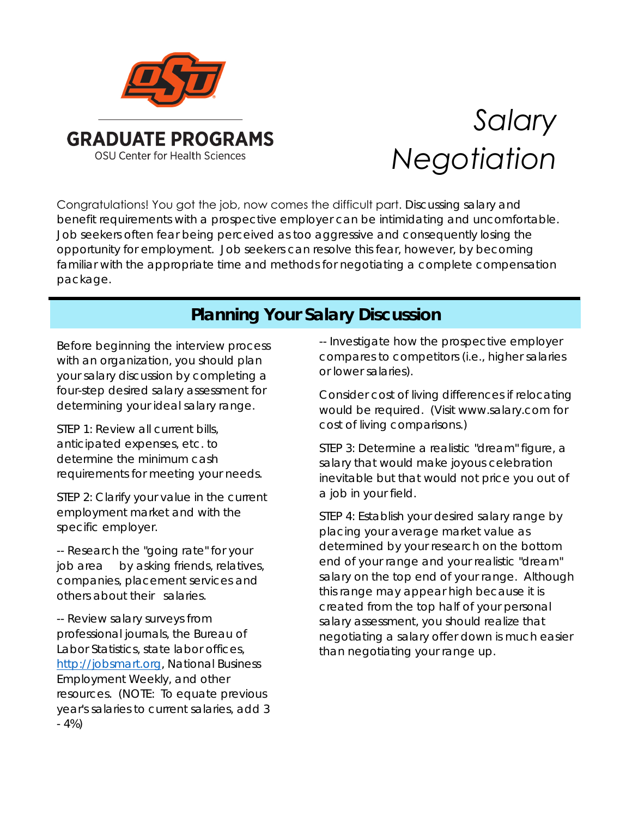

# *Salary Negotiation*

Congratulations! You got the job, now comes the difficult part. Discussing salary and benefit requirements with a prospective employer can be intimidating and uncomfortable. Job seekers often fear being perceived as too aggressive and consequently losing the opportunity for employment. Job seekers can resolve this fear, however, by becoming familiar with the appropriate time and methods for negotiating a complete compensation package.

# **Planning Your Salary Discussion**

Before beginning the interview process with an organization, you should plan your salary discussion by completing a four-step desired salary assessment for determining your ideal salary range.

STEP 1: Review all current bills, anticipated expenses, etc. to determine the minimum cash requirements for meeting your needs.

STEP 2: Clarify your value in the current employment market and with the specific employer.

-- Research the "going rate" for your job area by asking friends, relatives, companies, placement services and others about their salaries.

-- Review salary surveys from professional journals, the Bureau of Labor Statistics, state labor offices, [http://jobsmart.org,](http://jobsmart.org/) *National Business Employment Weekly*, and other resources. (NOTE: To equate previous year's salaries to current salaries, add 3 - 4%)

-- Investigate how the prospective employer compares to competitors (i.e., higher salaries or lower salaries).

Consider cost of living differences if relocating would be required. (Visit www.salary.com for cost of living comparisons.)

STEP 3: Determine a realistic "dream" figure, a salary that would make joyous celebration inevitable but that would not price you out of a job in your field.

STEP 4: Establish your desired salary range by placing your average market value as determined by your research on the bottom end of your range and your realistic "dream" salary on the top end of your range. Although this range may appear high because it is created from the top half of your personal salary assessment, you should realize that negotiating a salary offer down is much easier than negotiating your range up.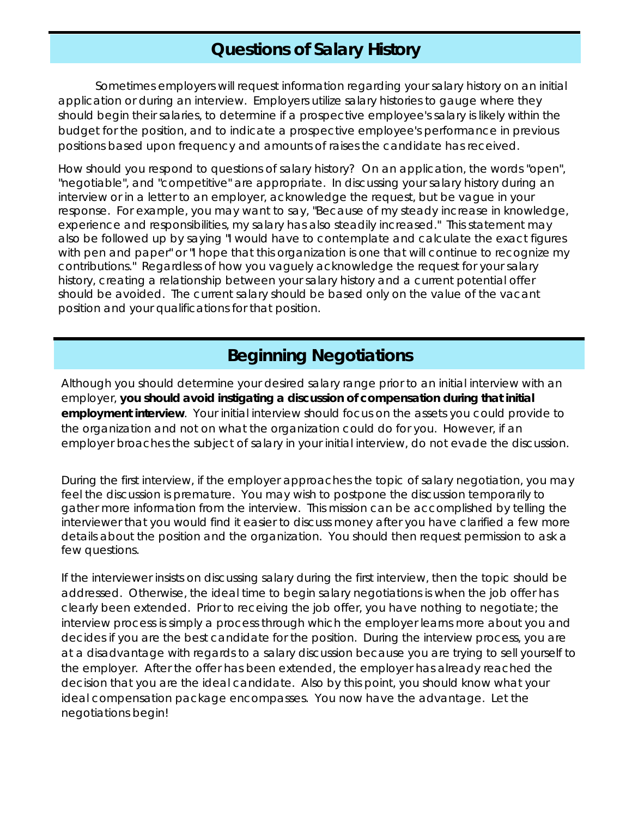## **Questions of Salary History**

Sometimes employers will request information regarding your salary history on an initial application or during an interview. Employers utilize salary histories to gauge where they should begin their salaries, to determine if a prospective employee's salary is likely within the budget for the position, and to indicate a prospective employee's performance in previous positions based upon frequency and amounts of raises the candidate has received.

How should you respond to questions of salary history? On an application, the words "open", "negotiable", and "competitive" are appropriate. In discussing your salary history during an interview or in a letter to an employer, acknowledge the request, but be vague in your response. For example, you may want to say, "Because of my steady increase in knowledge, experience and responsibilities, my salary has also steadily increased." This statement may also be followed up by saying "I would have to contemplate and calculate the exact figures with pen and paper" or "I hope that this organization is one that will continue to recognize my contributions." Regardless of how you vaguely acknowledge the request for your salary history, creating a relationship between your salary history and a current potential offer should be avoided. The current salary should be based only on the value of the vacant position and your qualifications for that position.

# **Beginning Negotiations**

Although you should determine your desired salary range prior to an initial interview with an employer, **you should avoid instigating a discussion of compensation during that initial employment interview**. Your initial interview should focus on the assets you could provide to the organization and not on what the organization could do for you. However, if an employer broaches the subject of salary in your initial interview, do not evade the discussion.

During the first interview, if the employer approaches the topic of salary negotiation, you may feel the discussion is premature. You may wish to postpone the discussion temporarily to gather more information from the interview. This mission can be accomplished by telling the interviewer that you would find it easier to discuss money after you have clarified a few more details about the position and the organization. You should then request permission to ask a few questions.

If the interviewer insists on discussing salary during the first interview, then the topic should be addressed. Otherwise, the ideal time to begin salary negotiations is when the job offer has clearly been extended. Prior to receiving the job offer, you have nothing to negotiate; the interview process is simply a process through which the employer learns more about you and decides if you are the best candidate for the position. During the interview process, you are at a disadvantage with regards to a salary discussion because you are trying to sell yourself to the employer. After the offer has been extended, the employer has already reached the decision that you are the ideal candidate. Also by this point, you should know what your ideal compensation package encompasses. You now have the advantage. Let the negotiations begin!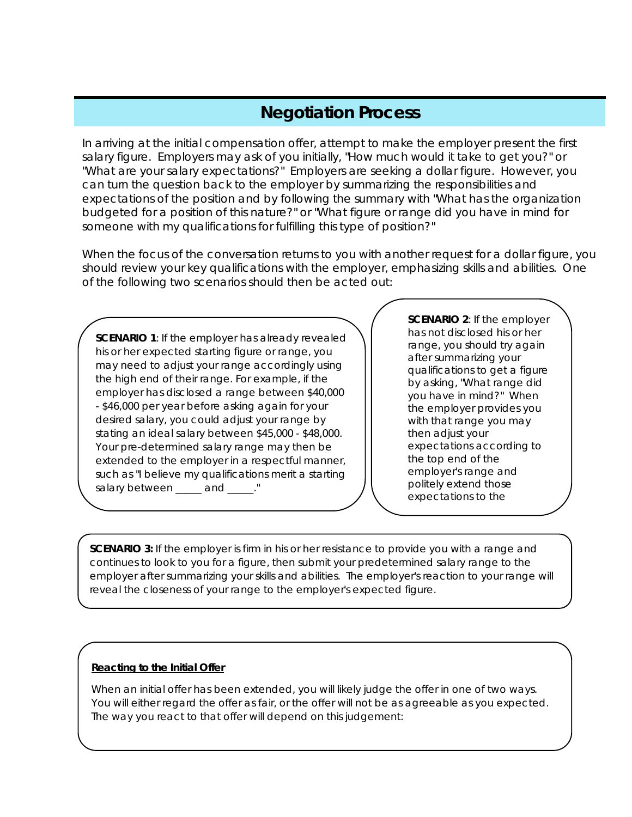## **Negotiation Process**

In arriving at the initial compensation offer, attempt to make the employer present the first salary figure. Employers may ask of you initially, "How much would it take to get you?" or "What are your salary expectations?" Employers are seeking a dollar figure. However, you can turn the question back to the employer by summarizing the responsibilities and expectations of the position and by following the summary with "What has the organization budgeted for a position of this nature?" or "What figure or range did you have in mind for someone with my qualifications for fulfilling this type of position?"

When the focus of the conversation returns to you with another request for a dollar figure, you should review your key qualifications with the employer, emphasizing skills and abilities. One of the following two scenarios should then be acted out:

**SCENARIO 1**: If the employer has already revealed his or her expected starting figure or range, you may need to adjust your range accordingly using the high end of their range. For example, if the employer has disclosed a range between \$40,000 - \$46,000 per year before asking again for your desired salary, you could adjust your range by stating an ideal salary between \$45,000 - \$48,000. Your pre-determined salary range may then be extended to the employer in a respectful manner, such as "I believe my qualifications merit a starting salary between \_\_\_\_\_ and \_\_\_\_\_."

**SCENARIO 2**: If the employer has not disclosed his or her range, you should try again after summarizing your qualifications to get a figure by asking, "What range did you have in mind?" When the employer provides you with that range you may then adjust your expectations according to the top end of the employer's range and politely extend those expectations to the

**SCENARIO 3:** If the employer is firm in his or her resistance to provide you with a range and continues to look to you for a figure, then submit your predetermined salary range to the employer after summarizing your skills and abilities. The employer's reaction to your range will reveal the closeness of your range to the employer's expected figure.

#### **Reacting to the Initial Offer**

When an initial offer has been extended, you will likely judge the offer in one of two ways. You will either regard the offer as fair, or the offer will not be as agreeable as you expected. The way you react to that offer will depend on this judgement: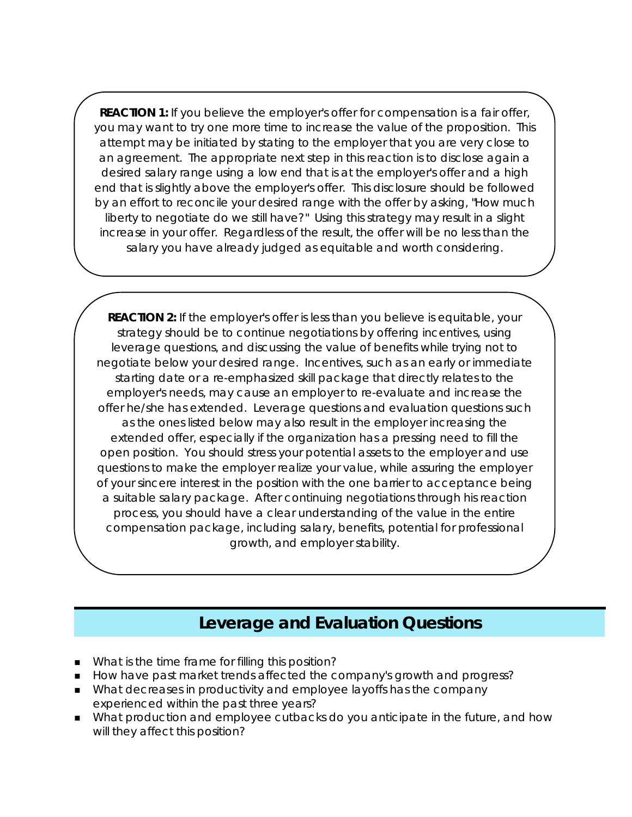**REACTION 1:** If you believe the employer's offer for compensation is a fair offer, you may want to try one more time to increase the value of the proposition. This attempt may be initiated by stating to the employer that you are very close to an agreement. The appropriate next step in this reaction is to disclose again a desired salary range using a low end that is at the employer's offer and a high end that is slightly above the employer's offer. This disclosure should be followed by an effort to reconcile your desired range with the offer by asking, "How much liberty to negotiate do we still have?" Using this strategy may result in a slight increase in your offer. Regardless of the result, the offer will be no less than the salary you have already judged as equitable and worth considering.

**REACTION 2:** If the employer's offer is less than you believe is equitable, your strategy should be to continue negotiations by offering incentives, using leverage questions, and discussing the value of benefits while trying not to negotiate below your desired range. Incentives, such as an early or immediate starting date or a re-emphasized skill package that directly relates to the employer's needs, may cause an employer to re-evaluate and increase the offer he/she has extended. Leverage questions and evaluation questions such as the ones listed below may also result in the employer increasing the extended offer, especially if the organization has a pressing need to fill the open position. You should stress your potential assets to the employer and use questions to make the employer realize your value, while assuring the employer of your sincere interest in the position with the one barrier to acceptance being a suitable salary package. After continuing negotiations through his reaction process, you should have a clear understanding of the value in the entire compensation package, including salary, benefits, potential for professional growth, and employer stability.

### **Leverage and Evaluation Questions**

- What is the time frame for filling this position?
- How have past market trends affected the company's growth and progress?
- What decreases in productivity and employee layoffs has the company experienced within the past three years?
- What production and employee cutbacks do you anticipate in the future, and how will they affect this position?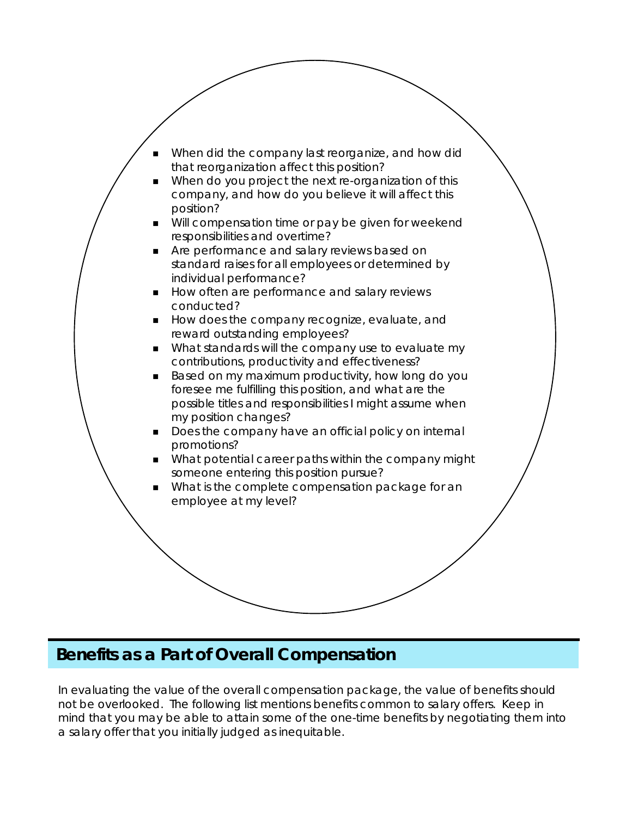

### **Benefits as a Part of Overall Compensation**

In evaluating the value of the overall compensation package, the value of benefits should not be overlooked. The following list mentions benefits common to salary offers. Keep in mind that you may be able to attain some of the one-time benefits by negotiating them into a salary offer that you initially judged as inequitable.